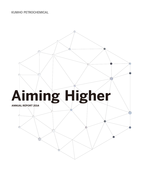# **KUMHO PETROCHEMICAL**